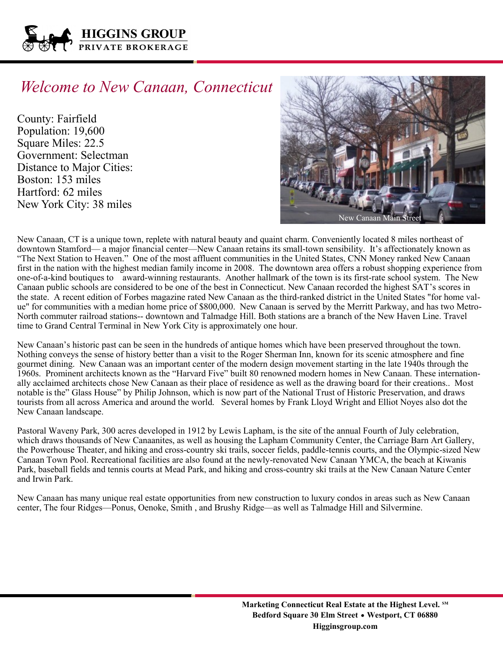

## *Welcome to New Canaan, Connecticut*

County: Fairfield Population: 19,600 Square Miles: 22.5 Government: Selectman Distance to Major Cities: Boston: 153 miles Hartford: 62 miles New York City: 38 miles



New Canaan, CT is a unique town, replete with natural beauty and quaint charm. Conveniently located 8 miles northeast of downtown Stamford— a major financial center—New Canaan retains its small-town sensibility. It's affectionately known as "The Next Station to Heaven." One of the most affluent communities in the United States, CNN Money ranked New Canaan first in the nation with the highest median family income in 2008. The downtown area offers a robust shopping experience from one-of-a-kind boutiques to award-winning restaurants. Another hallmark of the town is its first-rate school system. The New Canaan public schools are considered to be one of the best in Connecticut. New Canaan recorded the highest SAT's scores in the state. A recent edition of Forbes magazine rated New Canaan as the third-ranked district in the United States "for home value" for communities with a median home price of \$800,000. New Canaan is served by the Merritt Parkway, and has two Metro-North commuter railroad stations-- downtown and Talmadge Hill. Both stations are a branch of the New Haven Line. Travel time to Grand Central Terminal in New York City is approximately one hour.

New Canaan's historic past can be seen in the hundreds of antique homes which have been preserved throughout the town. Nothing conveys the sense of history better than a visit to the Roger Sherman Inn, known for its scenic atmosphere and fine gourmet dining. New Canaan was an important center of the modern design movement starting in the late 1940s through the 1960s. Prominent architects known as the "Harvard Five" built 80 renowned modern homes in New Canaan. These internationally acclaimed architects chose New Canaan as their place of residence as well as the drawing board for their creations.. Most notable is the" Glass House" by Philip Johnson, which is now part of the National Trust of Historic Preservation, and draws tourists from all across America and around the world. Several homes by Frank Lloyd Wright and Elliot Noyes also dot the New Canaan landscape.

Pastoral Waveny Park, 300 acres developed in 1912 by Lewis Lapham, is the site of the annual Fourth of July celebration, which draws thousands of New Canaanites, as well as housing the Lapham Community Center, the Carriage Barn Art Gallery, the Powerhouse Theater, and hiking and cross-country ski trails, soccer fields, paddle-tennis courts, and the Olympic-sized New Canaan Town Pool. Recreational facilities are also found at the newly-renovated New Canaan YMCA, the beach at Kiwanis Park, baseball fields and tennis courts at Mead Park, and hiking and cross-country ski trails at the New Canaan Nature Center and Irwin Park.

New Canaan has many unique real estate opportunities from new construction to luxury condos in areas such as New Canaan center, The four Ridges—Ponus, Oenoke, Smith , and Brushy Ridge—as well as Talmadge Hill and Silvermine.